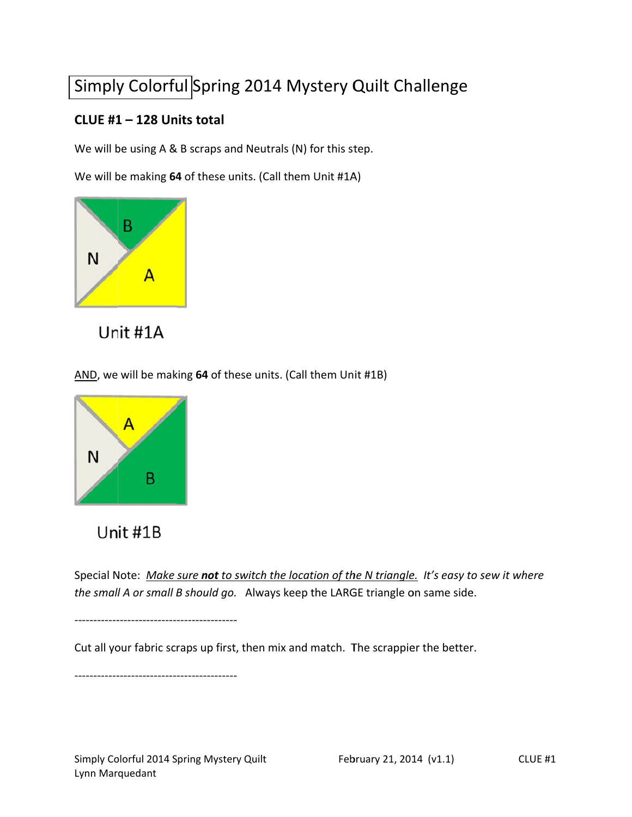# Simply Colorful Spring 2014 Mystery Quilt Challenge

### CLUE #1-128 Units total

We will be using A & B scraps and Neutrals (N) for this step.

We will be making 64 of these units. (Call them Unit #1A)





AND, we will be making 64 of these units. (Call them Unit #1B)



## Unit #1B

Special Note: Make sure not to switch the location of the N triangle. It's easy to sew it where the small A or small B should go. Always keep the LARGE triangle on same side.

--------------------------------------

Cut all your fabric scraps up first, then mix and match. The scrappier the better.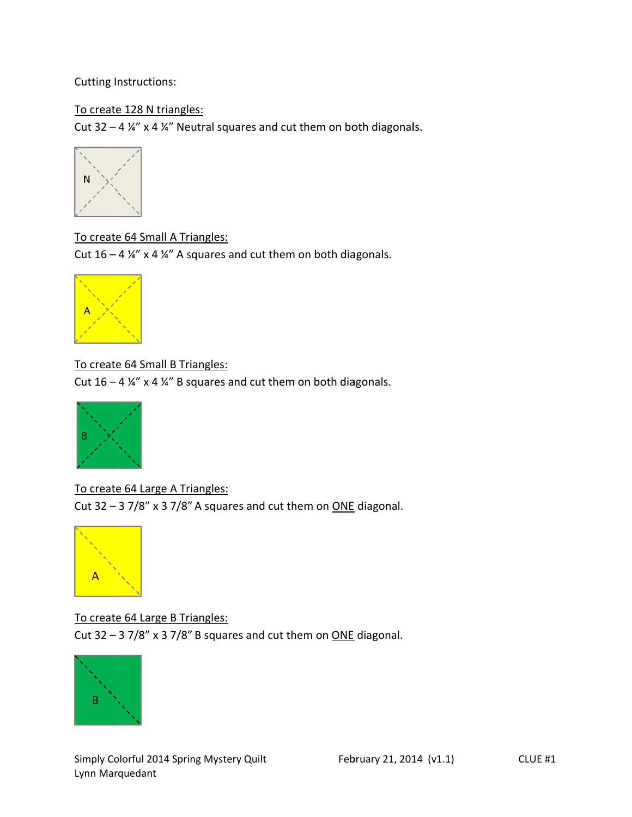Cutting Instructions:

#### To create 128 N triangles:

Cut 32 – 4  $\frac{1}{4}$  x 4  $\frac{1}{4}$  Neutral squares and cut them on both diagonals.



To create 64 Small A Triangles: Cut  $16 - 4$  ¼" x 4 ¼" A squares and cut them on both diagonals.



To create 64 Small B Triangles:

Cut  $16 - 4$  ¼" x 4 ¼" B squares and cut them on both diagonals.



To create 64 Large A Triangles: Cut 32  $-$  3 7/8" x 3 7/8" A squares and cut them on  $\overline{ONE}$  diagonal.



To create 64 Large B Triangles: Cut 32  $-$  3 7/8" x 3 7/8" B squares and cut them on  $\overline{ONE}$  diagonal.